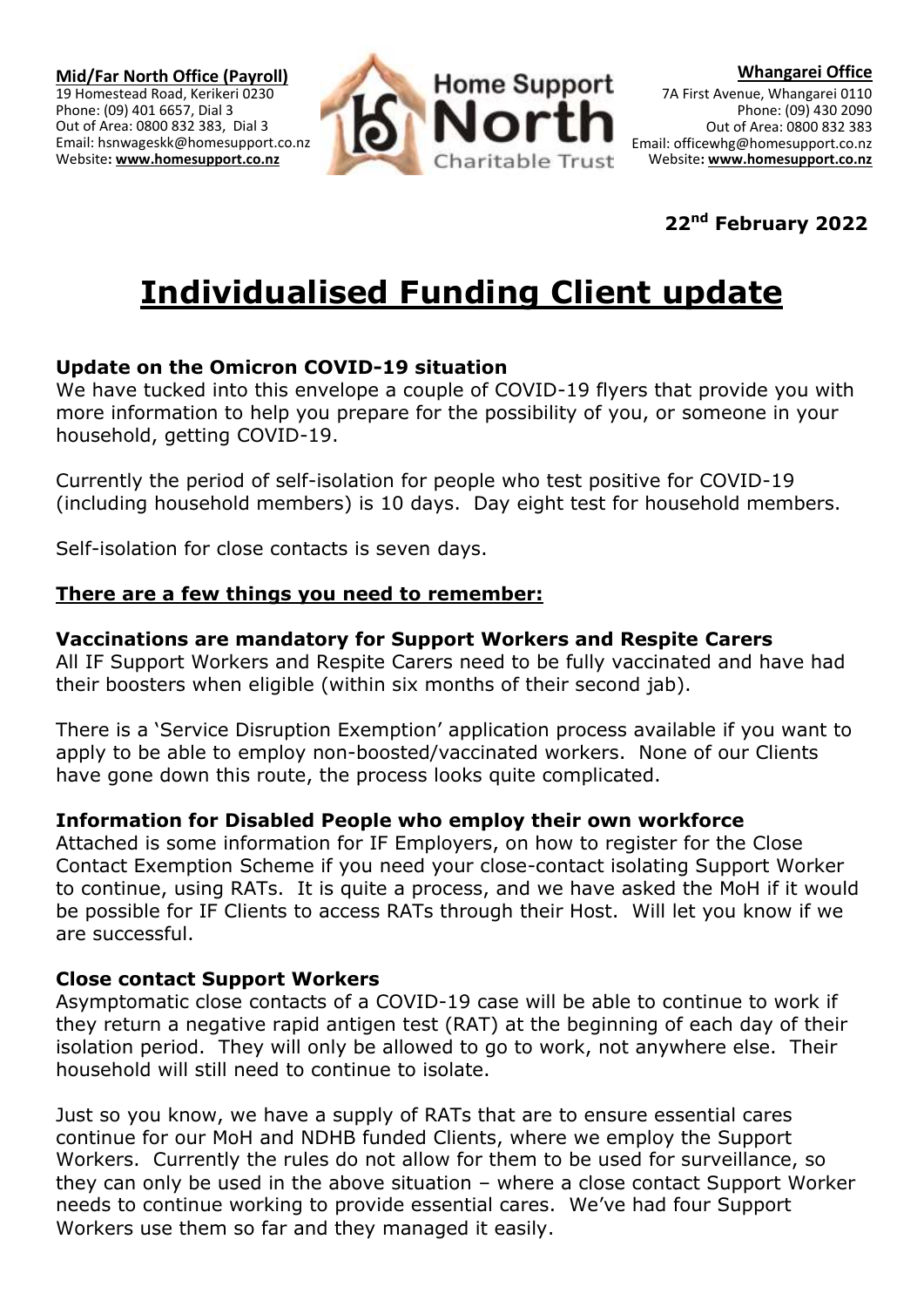

## **22nd February 2022**

# **Individualised Funding Client update**

### **Update on the Omicron COVID-19 situation**

We have tucked into this envelope a couple of COVID-19 flyers that provide you with more information to help you prepare for the possibility of you, or someone in your household, getting COVID-19.

Currently the period of self-isolation for people who test positive for COVID-19 (including household members) is 10 days. Day eight test for household members.

Self-isolation for close contacts is seven days.

### **There are a few things you need to remember:**

#### **Vaccinations are mandatory for Support Workers and Respite Carers**

All IF Support Workers and Respite Carers need to be fully vaccinated and have had their boosters when eligible (within six months of their second jab).

There is a 'Service Disruption Exemption' application process available if you want to apply to be able to employ non-boosted/vaccinated workers. None of our Clients have gone down this route, the process looks quite complicated.

#### **Information for Disabled People who employ their own workforce**

Attached is some information for IF Employers, on how to register for the Close Contact Exemption Scheme if you need your close-contact isolating Support Worker to continue, using RATs. It is quite a process, and we have asked the MoH if it would be possible for IF Clients to access RATs through their Host. Will let you know if we are successful.

#### **Close contact Support Workers**

Asymptomatic close contacts of a COVID-19 case will be able to continue to work if they return a negative rapid antigen test (RAT) at the beginning of each day of their isolation period. They will only be allowed to go to work, not anywhere else. Their household will still need to continue to isolate.

Just so you know, we have a supply of RATs that are to ensure essential cares continue for our MoH and NDHB funded Clients, where we employ the Support Workers. Currently the rules do not allow for them to be used for surveillance, so they can only be used in the above situation – where a close contact Support Worker needs to continue working to provide essential cares. We've had four Support Workers use them so far and they managed it easily.